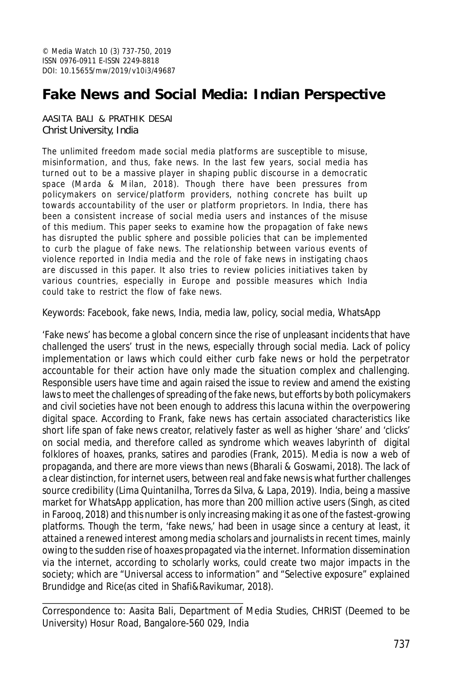# **Fake News and Social Media: Indian Perspective**

AASITA BALI & PRATHIK DESAI Christ University, India

The unlimited freedom made social media platforms are susceptible to misuse, misinformation, and thus, fake news. In the last few years, social media has turned out to be a massive player in shaping public discourse in a democratic space (Marda & Milan, 2018). Though there have been pressures from policymakers on service/platform providers, nothing concrete has built up towards accountability of the user or platform proprietors. In India, there has been a consistent increase of social media users and instances of the misuse of this medium. This paper seeks to examine how the propagation of fake news has disrupted the public sphere and possible policies that can be implemented to curb the plague of fake news. The relationship between various events of violence reported in India media and the role of fake news in instigating chaos are discussed in this paper. It also tries to review policies initiatives taken by various countries, especially in Europe and possible measures which India could take to restrict the flow of fake news.

Keywords: Facebook, fake news, India, media law, policy, social media, WhatsApp

'Fake news' has become a global concern since the rise of unpleasant incidents that have challenged the users' trust in the news, especially through social media. Lack of policy implementation or laws which could either curb fake news or hold the perpetrator accountable for their action have only made the situation complex and challenging. Responsible users have time and again raised the issue to review and amend the existing laws to meet the challenges of spreading of the fake news, but efforts by both policymakers and civil societies have not been enough to address this lacuna within the overpowering digital space. According to Frank, fake news has certain associated characteristics like short life span of fake news creator, relatively faster as well as higher 'share' and 'clicks' on social media, and therefore called as syndrome which weaves labyrinth of digital folklores of hoaxes, pranks, satires and parodies (Frank, 2015). Media is now a web of propaganda, and there are more views than news (Bharali & Goswami, 2018). The lack of a clear distinction, for internet users, between real and fake news is what further challenges source credibility (Lima Quintanilha, Torres da Silva, & Lapa, 2019). India, being a massive market for WhatsApp application, has more than 200 million active users (Singh, as cited in Farooq, 2018) and this number is only increasing making it as one of the fastest-growing platforms. Though the term, 'fake news,' had been in usage since a century at least, it attained a renewed interest among media scholars and journalists in recent times, mainly owing to the sudden rise of hoaxes propagated via the internet. Information dissemination via the internet, according to scholarly works, could create two major impacts in the society; which are "Universal access to information" and "Selective exposure" explained Brundidge and Rice(as cited in Shafi&Ravikumar, 2018).

Correspondence to: Aasita Bali, Department of Media Studies, CHRIST (Deemed to be University) Hosur Road, Bangalore-560 029, India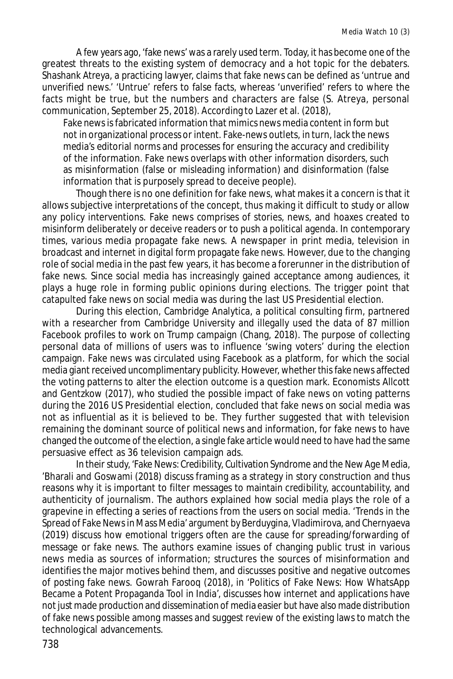A few years ago, 'fake news' was a rarely used term. Today, it has become one of the greatest threats to the existing system of democracy and a hot topic for the debaters. Shashank Atreya, a practicing lawyer, claims that fake news can be defined as 'untrue and unverified news.' 'Untrue' refers to false facts, whereas 'unverified' refers to where the facts might be true, but the numbers and characters are false (S. Atreya, personal communication, September 25, 2018). According to Lazer et al. (2018),

Fake news is fabricated information that mimics news media content in form but not in organizational process or intent. Fake-news outlets, in turn, lack the news media's editorial norms and processes for ensuring the accuracy and credibility of the information. Fake news overlaps with other information disorders, such as misinformation (false or misleading information) and disinformation (false information that is purposely spread to deceive people).

Though there is no one definition for fake news, what makes it a concern is that it allows subjective interpretations of the concept, thus making it difficult to study or allow any policy interventions. Fake news comprises of stories, news, and hoaxes created to misinform deliberately or deceive readers or to push a political agenda. In contemporary times, various media propagate fake news. A newspaper in print media, television in broadcast and internet in digital form propagate fake news. However, due to the changing role of social media in the past few years, it has become a forerunner in the distribution of fake news. Since social media has increasingly gained acceptance among audiences, it plays a huge role in forming public opinions during elections. The trigger point that catapulted fake news on social media was during the last US Presidential election.

During this election, Cambridge Analytica, a political consulting firm, partnered with a researcher from Cambridge University and illegally used the data of 87 million Facebook profiles to work on Trump campaign (Chang, 2018). The purpose of collecting personal data of millions of users was to influence 'swing voters' during the election campaign. Fake news was circulated using Facebook as a platform, for which the social media giant received uncomplimentary publicity. However, whether this fake news affected the voting patterns to alter the election outcome is a question mark. Economists Allcott and Gentzkow (2017), who studied the possible impact of fake news on voting patterns during the 2016 US Presidential election, concluded that fake news on social media was not as influential as it is believed to be. They further suggested that with television remaining the dominant source of political news and information, for fake news to have changed the outcome of the election, a single fake article would need to have had the same persuasive effect as 36 television campaign ads.

In their study, 'Fake News: Credibility, Cultivation Syndrome and the New Age Media, 'Bharali and Goswami (2018) discuss framing as a strategy in story construction and thus reasons why it is important to filter messages to maintain credibility, accountability, and authenticity of journalism. The authors explained how social media plays the role of a grapevine in effecting a series of reactions from the users on social media. 'Trends in the Spread of Fake News in Mass Media' argument by Berduygina, Vladimirova, and Chernyaeva (2019) discuss how emotional triggers often are the cause for spreading/forwarding of message or fake news. The authors examine issues of changing public trust in various news media as sources of information; structures the sources of misinformation and identifies the major motives behind them, and discusses positive and negative outcomes of posting fake news. Gowrah Farooq (2018), in 'Politics of Fake News: How WhatsApp Became a Potent Propaganda Tool in India', discusses how internet and applications have not just made production and dissemination of media easier but have also made distribution of fake news possible among masses and suggest review of the existing laws to match the technological advancements.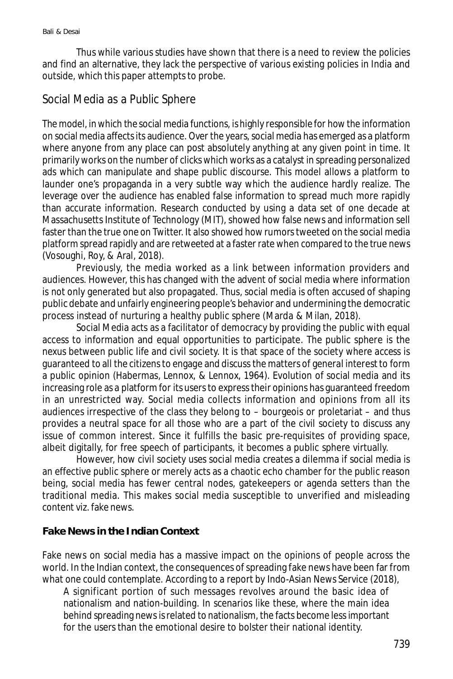Thus while various studies have shown that there is a need to review the policies and find an alternative, they lack the perspective of various existing policies in India and outside, which this paper attempts to probe.

## Social Media as a Public Sphere

The model, in which the social media functions, is highly responsible for how the information on social media affects its audience. Over the years, social media has emerged as a platform where anyone from any place can post absolutely anything at any given point in time. It primarily works on the number of clicks which works as a catalyst in spreading personalized ads which can manipulate and shape public discourse. This model allows a platform to launder one's propaganda in a very subtle way which the audience hardly realize. The leverage over the audience has enabled false information to spread much more rapidly than accurate information. Research conducted by using a data set of one decade at Massachusetts Institute of Technology (MIT), showed how false news and information sell faster than the true one on Twitter. It also showed how rumors tweeted on the social media platform spread rapidly and are retweeted at a faster rate when compared to the true news (Vosoughi, Roy, & Aral, 2018).

Previously, the media worked as a link between information providers and audiences. However, this has changed with the advent of social media where information is not only generated but also propagated. Thus, social media is often accused of shaping public debate and unfairly engineering people's behavior and undermining the democratic process instead of nurturing a healthy public sphere (Marda & Milan, 2018).

Social Media acts as a facilitator of democracy by providing the public with equal access to information and equal opportunities to participate. The public sphere is the nexus between public life and civil society. It is that space of the society where access is guaranteed to all the citizens to engage and discuss the matters of general interest to form a public opinion (Habermas, Lennox, & Lennox, 1964). Evolution of social media and its increasing role as a platform for its users to express their opinions has guaranteed freedom in an unrestricted way. Social media collects information and opinions from all its audiences irrespective of the class they belong to – bourgeois or proletariat – and thus provides a neutral space for all those who are a part of the civil society to discuss any issue of common interest. Since it fulfills the basic pre-requisites of providing space, albeit digitally, for free speech of participants, it becomes a public sphere virtually.

However, how civil society uses social media creates a dilemma if social media is an effective public sphere or merely acts as a chaotic echo chamber for the public reason being, social media has fewer central nodes, gatekeepers or agenda setters than the traditional media. This makes social media susceptible to unverified and misleading content viz. fake news.

### **Fake News in the Indian Context**

Fake news on social media has a massive impact on the opinions of people across the world. In the Indian context, the consequences of spreading fake news have been far from what one could contemplate. According to a report by Indo-Asian News Service (2018),

A significant portion of such messages revolves around the basic idea of nationalism and nation-building. In scenarios like these, where the main idea behind spreading news is related to nationalism, the facts become less important for the users than the emotional desire to bolster their national identity.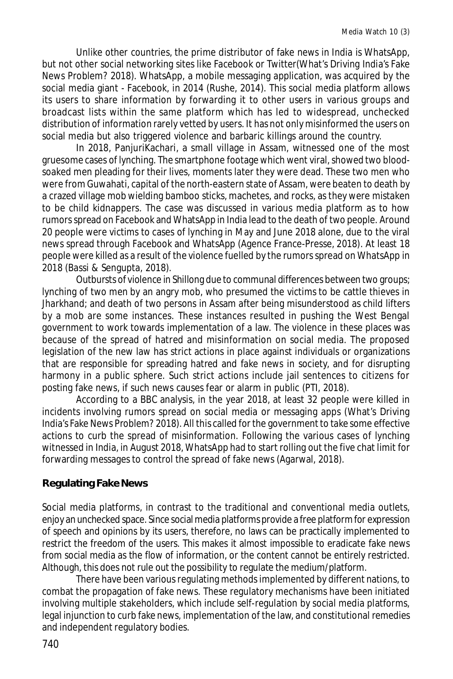Unlike other countries, the prime distributor of fake news in India is WhatsApp, but not other social networking sites like Facebook or Twitter(What's Driving India's Fake News Problem? 2018). WhatsApp, a mobile messaging application, was acquired by the social media giant - Facebook, in 2014 (Rushe, 2014). This social media platform allows its users to share information by forwarding it to other users in various groups and broadcast lists within the same platform which has led to widespread, unchecked distribution of information rarely vetted by users. It has not only misinformed the users on social media but also triggered violence and barbaric killings around the country.

In 2018, PanjuriKachari, a small village in Assam, witnessed one of the most gruesome cases of lynching. The smartphone footage which went viral, showed two bloodsoaked men pleading for their lives, moments later they were dead. These two men who were from Guwahati, capital of the north-eastern state of Assam, were beaten to death by a crazed village mob wielding bamboo sticks, machetes, and rocks, as they were mistaken to be child kidnappers. The case was discussed in various media platform as to how rumors spread on Facebook and WhatsApp in India lead to the death of two people. Around 20 people were victims to cases of lynching in May and June 2018 alone, due to the viral news spread through Facebook and WhatsApp (Agence France-Presse, 2018). At least 18 people were killed as a result of the violence fuelled by the rumors spread on WhatsApp in 2018 (Bassi & Sengupta, 2018).

Outbursts of violence in Shillong due to communal differences between two groups; lynching of two men by an angry mob, who presumed the victims to be cattle thieves in Jharkhand; and death of two persons in Assam after being misunderstood as child lifters by a mob are some instances. These instances resulted in pushing the West Bengal government to work towards implementation of a law. The violence in these places was because of the spread of hatred and misinformation on social media. The proposed legislation of the new law has strict actions in place against individuals or organizations that are responsible for spreading hatred and fake news in society, and for disrupting harmony in a public sphere. Such strict actions include jail sentences to citizens for posting fake news, if such news causes fear or alarm in public (PTI, 2018).

According to a BBC analysis, in the year 2018, at least 32 people were killed in incidents involving rumors spread on social media or messaging apps (What's Driving India's Fake News Problem? 2018). All this called for the government to take some effective actions to curb the spread of misinformation. Following the various cases of lynching witnessed in India, in August 2018, WhatsApp had to start rolling out the five chat limit for forwarding messages to control the spread of fake news (Agarwal, 2018).

## **Regulating Fake News**

Social media platforms, in contrast to the traditional and conventional media outlets, enjoy an unchecked space. Since social media platforms provide a free platform for expression of speech and opinions by its users, therefore, no laws can be practically implemented to restrict the freedom of the users. This makes it almost impossible to eradicate fake news from social media as the flow of information, or the content cannot be entirely restricted. Although, this does not rule out the possibility to regulate the medium/platform.

There have been various regulating methods implemented by different nations, to combat the propagation of fake news. These regulatory mechanisms have been initiated involving multiple stakeholders, which include self-regulation by social media platforms, legal injunction to curb fake news, implementation of the law, and constitutional remedies and independent regulatory bodies.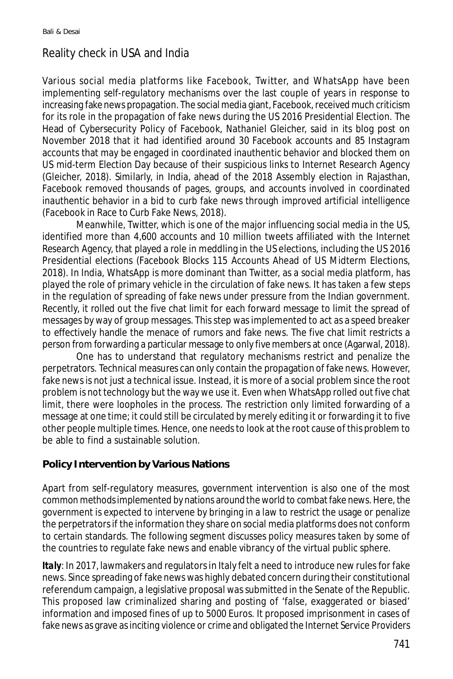## Reality check in USA and India

Various social media platforms like Facebook, Twitter, and WhatsApp have been implementing self-regulatory mechanisms over the last couple of years in response to increasing fake news propagation. The social media giant, Facebook, received much criticism for its role in the propagation of fake news during the US 2016 Presidential Election. The Head of Cybersecurity Policy of Facebook, Nathaniel Gleicher, said in its blog post on November 2018 that it had identified around 30 Facebook accounts and 85 Instagram accounts that may be engaged in coordinated inauthentic behavior and blocked them on US mid-term Election Day because of their suspicious links to Internet Research Agency (Gleicher, 2018). Similarly, in India, ahead of the 2018 Assembly election in Rajasthan, Facebook removed thousands of pages, groups, and accounts involved in coordinated inauthentic behavior in a bid to curb fake news through improved artificial intelligence (Facebook in Race to Curb Fake News, 2018).

Meanwhile, Twitter, which is one of the major influencing social media in the US, identified more than 4,600 accounts and 10 million tweets affiliated with the Internet Research Agency, that played a role in meddling in the US elections, including the US 2016 Presidential elections (Facebook Blocks 115 Accounts Ahead of US Midterm Elections, 2018). In India, WhatsApp is more dominant than Twitter, as a social media platform, has played the role of primary vehicle in the circulation of fake news. It has taken a few steps in the regulation of spreading of fake news under pressure from the Indian government. Recently, it rolled out the five chat limit for each forward message to limit the spread of messages by way of group messages. This step was implemented to act as a speed breaker to effectively handle the menace of rumors and fake news. The five chat limit restricts a person from forwarding a particular message to only five members at once (Agarwal, 2018).

One has to understand that regulatory mechanisms restrict and penalize the perpetrators. Technical measures can only contain the propagation of fake news. However, fake news is not just a technical issue. Instead, it is more of a social problem since the root problem is not technology but the way we use it. Even when WhatsApp rolled out five chat limit, there were loopholes in the process. The restriction only limited forwarding of a message at one time; it could still be circulated by merely editing it or forwarding it to five other people multiple times. Hence, one needs to look at the root cause of this problem to be able to find a sustainable solution.

### **Policy Intervention by Various Nations**

Apart from self-regulatory measures, government intervention is also one of the most common methods implemented by nations around the world to combat fake news. Here, the government is expected to intervene by bringing in a law to restrict the usage or penalize the perpetrators if the information they share on social media platforms does not conform to certain standards. The following segment discusses policy measures taken by some of the countries to regulate fake news and enable vibrancy of the virtual public sphere.

*Italy*: In 2017, lawmakers and regulators in Italy felt a need to introduce new rules for fake news. Since spreading of fake news was highly debated concern during their constitutional referendum campaign, a legislative proposal was submitted in the Senate of the Republic. This proposed law criminalized sharing and posting of 'false, exaggerated or biased' information and imposed fines of up to 5000 Euros. It proposed imprisonment in cases of fake news as grave as inciting violence or crime and obligated the Internet Service Providers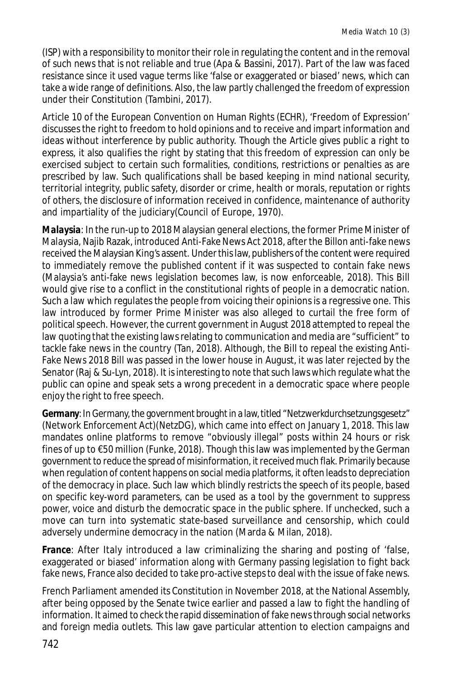(ISP) with a responsibility to monitor their role in regulating the content and in the removal of such news that is not reliable and true (Apa & Bassini, 2017). Part of the law was faced resistance since it used vague terms like 'false or exaggerated or biased' news, which can take a wide range of definitions. Also, the law partly challenged the freedom of expression under their Constitution (Tambini, 2017).

Article 10 of the European Convention on Human Rights (ECHR), 'Freedom of Expression' discusses the right to freedom to hold opinions and to receive and impart information and ideas without interference by public authority. Though the Article gives public a right to express, it also qualifies the right by stating that this freedom of expression can only be exercised subject to certain such formalities, conditions, restrictions or penalties as are prescribed by law. Such qualifications shall be based keeping in mind national security, territorial integrity, public safety, disorder or crime, health or morals, reputation or rights of others, the disclosure of information received in confidence, maintenance of authority and impartiality of the judiciary(Council of Europe, 1970).

*Malaysia*: In the run-up to 2018 Malaysian general elections, the former Prime Minister of Malaysia, Najib Razak, introduced Anti-Fake News Act 2018, after the Billon anti-fake news received the Malaysian King's assent. Under this law, publishers of the content were required to immediately remove the published content if it was suspected to contain fake news (Malaysia's anti-fake news legislation becomes law, is now enforceable, 2018). This Bill would give rise to a conflict in the constitutional rights of people in a democratic nation. Such a law which regulates the people from voicing their opinions is a regressive one. This law introduced by former Prime Minister was also alleged to curtail the free form of political speech. However, the current government in August 2018 attempted to repeal the law quoting that the existing laws relating to communication and media are "sufficient" to tackle fake news in the country (Tan, 2018). Although, the Bill to repeal the existing Anti-Fake News 2018 Bill was passed in the lower house in August, it was later rejected by the Senator (Raj & Su-Lyn, 2018). It is interesting to note that such laws which regulate what the public can opine and speak sets a wrong precedent in a democratic space where people enjoy the right to free speech.

**Germany:** In Germany, the government brought in a law, titled "Netzwerkdurchsetzungsgesetz" (Network Enforcement Act)(NetzDG), which came into effect on January 1, 2018. This law mandates online platforms to remove "obviously illegal" posts within 24 hours or risk fines of up to €50 million (Funke, 2018). Though this law was implemented by the German government to reduce the spread of misinformation, it received much flak. Primarily because when regulation of content happens on social media platforms, it often leads to depreciation of the democracy in place. Such law which blindly restricts the speech of its people, based on specific key-word parameters, can be used as a tool by the government to suppress power, voice and disturb the democratic space in the public sphere. If unchecked, such a move can turn into systematic state-based surveillance and censorship, which could adversely undermine democracy in the nation (Marda & Milan, 2018).

*France*: After Italy introduced a law criminalizing the sharing and posting of 'false, exaggerated or biased' information along with Germany passing legislation to fight back fake news, France also decided to take pro-active steps to deal with the issue of fake news.

French Parliament amended its Constitution in November 2018, at the National Assembly, after being opposed by the Senate twice earlier and passed a law to fight the handling of information. It aimed to check the rapid dissemination of fake news through social networks and foreign media outlets. This law gave particular attention to election campaigns and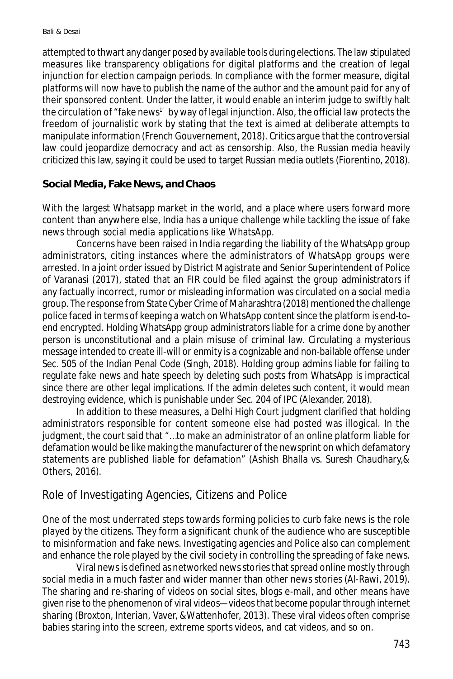attempted to thwart any danger posed by available tools during elections. The law stipulated measures like transparency obligations for digital platforms and the creation of legal injunction for election campaign periods. In compliance with the former measure, digital platforms will now have to publish the name of the author and the amount paid for any of their sponsored content. Under the latter, it would enable an interim judge to swiftly halt the circulation of "fake news<sup>1"</sup> by way of legal injunction. Also, the official law protects the freedom of journalistic work by stating that the text is aimed at deliberate attempts to manipulate information (French Gouvernement, 2018). Critics argue that the controversial law could jeopardize democracy and act as censorship. Also, the Russian media heavily criticized this law, saying it could be used to target Russian media outlets (Fiorentino, 2018).

### **Social Media, Fake News, and Chaos**

With the largest Whatsapp market in the world, and a place where users forward more content than anywhere else, India has a unique challenge while tackling the issue of fake news through social media applications like WhatsApp.

Concerns have been raised in India regarding the liability of the WhatsApp group administrators, citing instances where the administrators of WhatsApp groups were arrested. In a joint order issued by District Magistrate and Senior Superintendent of Police of Varanasi (2017), stated that an FIR could be filed against the group administrators if any factually incorrect, rumor or misleading information was circulated on a social media group. The response from State Cyber Crime of Maharashtra (2018) mentioned the challenge police faced in terms of keeping a watch on WhatsApp content since the platform is end-toend encrypted. Holding WhatsApp group administrators liable for a crime done by another person is unconstitutional and a plain misuse of criminal law. Circulating a mysterious message intended to create ill-will or enmity is a cognizable and non-bailable offense under Sec. 505 of the Indian Penal Code (Singh, 2018). Holding group admins liable for failing to regulate fake news and hate speech by deleting such posts from WhatsApp is impractical since there are other legal implications. If the admin deletes such content, it would mean destroying evidence, which is punishable under Sec. 204 of IPC (Alexander, 2018).

In addition to these measures, a Delhi High Court judgment clarified that holding administrators responsible for content someone else had posted was illogical. In the judgment, the court said that "…to make an administrator of an online platform liable for defamation would be like making the manufacturer of the newsprint on which defamatory statements are published liable for defamation" (Ashish Bhalla vs. Suresh Chaudhary,& Others, 2016).

## Role of Investigating Agencies, Citizens and Police

One of the most underrated steps towards forming policies to curb fake news is the role played by the citizens. They form a significant chunk of the audience who are susceptible to misinformation and fake news. Investigating agencies and Police also can complement and enhance the role played by the civil society in controlling the spreading of fake news.

Viral news is defined as networked news stories that spread online mostly through social media in a much faster and wider manner than other news stories (Al-Rawi, 2019). The sharing and re-sharing of videos on social sites, blogs e-mail, and other means have given rise to the phenomenon of viral videos—videos that become popular through internet sharing (Broxton, Interian, Vaver, &Wattenhofer, 2013). These viral videos often comprise babies staring into the screen, extreme sports videos, and cat videos, and so on.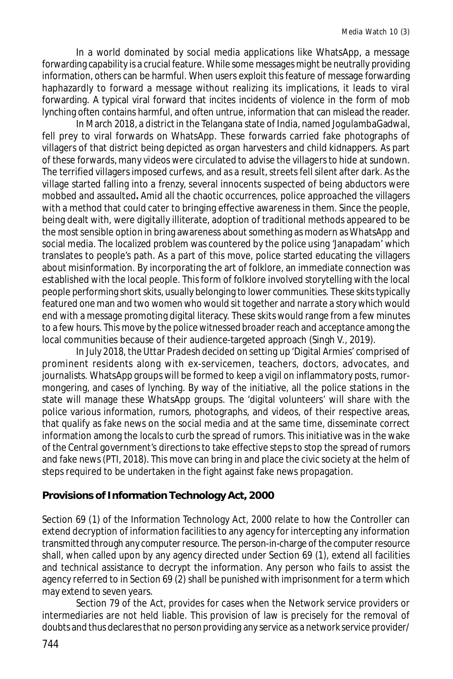In a world dominated by social media applications like WhatsApp, a message forwarding capability is a crucial feature. While some messages might be neutrally providing information, others can be harmful. When users exploit this feature of message forwarding haphazardly to forward a message without realizing its implications, it leads to viral forwarding. A typical viral forward that incites incidents of violence in the form of mob lynching often contains harmful, and often untrue, information that can mislead the reader.

In March 2018, a district in the Telangana state of India, named JogulambaGadwal, fell prey to viral forwards on WhatsApp. These forwards carried fake photographs of villagers of that district being depicted as organ harvesters and child kidnappers. As part of these forwards, many videos were circulated to advise the villagers to hide at sundown. The terrified villagers imposed curfews, and as a result, streets fell silent after dark. As the village started falling into a frenzy, several innocents suspected of being abductors were mobbed and assaulted**.** Amid all the chaotic occurrences, police approached the villagers with a method that could cater to bringing effective awareness in them. Since the people, being dealt with, were digitally illiterate, adoption of traditional methods appeared to be the most sensible option in bring awareness about something as modern as WhatsApp and social media. The localized problem was countered by the police using 'Janapadam' which translates to people's path. As a part of this move, police started educating the villagers about misinformation. By incorporating the art of folklore, an immediate connection was established with the local people. This form of folklore involved storytelling with the local people performing short skits, usually belonging to lower communities. These skits typically featured one man and two women who would sit together and narrate a story which would end with a message promoting digital literacy. These skits would range from a few minutes to a few hours. This move by the police witnessed broader reach and acceptance among the local communities because of their audience-targeted approach (Singh V., 2019).

In July 2018, the Uttar Pradesh decided on setting up 'Digital Armies' comprised of prominent residents along with ex-servicemen, teachers, doctors, advocates, and journalists. WhatsApp groups will be formed to keep a vigil on inflammatory posts, rumormongering, and cases of lynching. By way of the initiative, all the police stations in the state will manage these WhatsApp groups. The 'digital volunteers' will share with the police various information, rumors, photographs, and videos, of their respective areas, that qualify as fake news on the social media and at the same time, disseminate correct information among the locals to curb the spread of rumors. This initiative was in the wake of the Central government's directions to take effective steps to stop the spread of rumors and fake news (PTI, 2018). This move can bring in and place the civic society at the helm of steps required to be undertaken in the fight against fake news propagation.

## **Provisions of Information Technology Act, 2000**

Section 69 (1) of the Information Technology Act, 2000 relate to how the Controller can extend decryption of information facilities to any agency for intercepting any information transmitted through any computer resource. The person-in-charge of the computer resource shall, when called upon by any agency directed under Section 69 (1), extend all facilities and technical assistance to decrypt the information. Any person who fails to assist the agency referred to in Section 69 (2) shall be punished with imprisonment for a term which may extend to seven years.

Section 79 of the Act, provides for cases when the Network service providers or intermediaries are not held liable. This provision of law is precisely for the removal of doubts and thus declares that no person providing any service as a network service provider/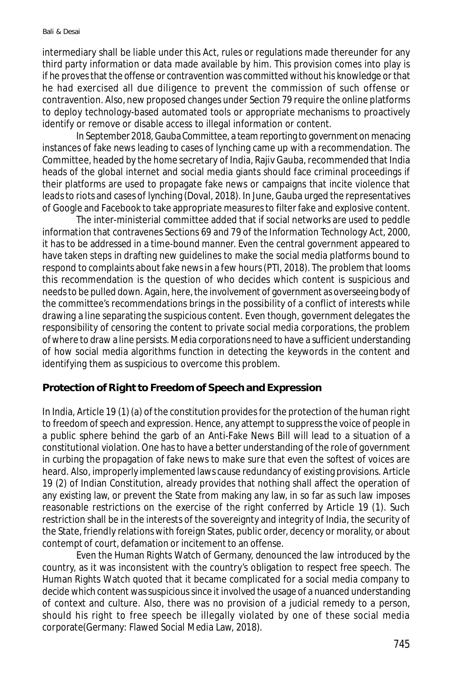intermediary shall be liable under this Act, rules or regulations made thereunder for any third party information or data made available by him. This provision comes into play is if he proves that the offense or contravention was committed without his knowledge or that he had exercised all due diligence to prevent the commission of such offense or contravention. Also, new proposed changes under Section 79 require the online platforms to deploy technology-based automated tools or appropriate mechanisms to proactively identify or remove or disable access to illegal information or content.

In September 2018, Gauba Committee, a team reporting to government on menacing instances of fake news leading to cases of lynching came up with a recommendation. The Committee, headed by the home secretary of India, Rajiv Gauba, recommended that India heads of the global internet and social media giants should face criminal proceedings if their platforms are used to propagate fake news or campaigns that incite violence that leads to riots and cases of lynching (Doval, 2018). In June, Gauba urged the representatives of Google and Facebook to take appropriate measures to filter fake and explosive content.

The inter-ministerial committee added that if social networks are used to peddle information that contravenes Sections 69 and 79 of the Information Technology Act, 2000, it has to be addressed in a time-bound manner. Even the central government appeared to have taken steps in drafting new guidelines to make the social media platforms bound to respond to complaints about fake news in a few hours (PTI, 2018). The problem that looms this recommendation is the question of who decides which content is suspicious and needs to be pulled down. Again, here, the involvement of government as overseeing body of the committee's recommendations brings in the possibility of a conflict of interests while drawing a line separating the suspicious content. Even though, government delegates the responsibility of censoring the content to private social media corporations, the problem of where to draw a line persists. Media corporations need to have a sufficient understanding of how social media algorithms function in detecting the keywords in the content and identifying them as suspicious to overcome this problem.

### **Protection of Right to Freedom of Speech and Expression**

In India, Article 19 (1) (a) of the constitution provides for the protection of the human right to freedom of speech and expression. Hence, any attempt to suppress the voice of people in a public sphere behind the garb of an Anti-Fake News Bill will lead to a situation of a constitutional violation. One has to have a better understanding of the role of government in curbing the propagation of fake news to make sure that even the softest of voices are heard. Also, improperly implemented laws cause redundancy of existing provisions. Article 19 (2) of Indian Constitution, already provides that nothing shall affect the operation of any existing law, or prevent the State from making any law, in so far as such law imposes reasonable restrictions on the exercise of the right conferred by Article 19 (1). Such restriction shall be in the interests of the sovereignty and integrity of India, the security of the State, friendly relations with foreign States, public order, decency or morality, or about contempt of court, defamation or incitement to an offense.

Even the Human Rights Watch of Germany, denounced the law introduced by the country, as it was inconsistent with the country's obligation to respect free speech. The Human Rights Watch quoted that it became complicated for a social media company to decide which content was suspicious since it involved the usage of a nuanced understanding of context and culture. Also, there was no provision of a judicial remedy to a person, should his right to free speech be illegally violated by one of these social media corporate(Germany: Flawed Social Media Law, 2018).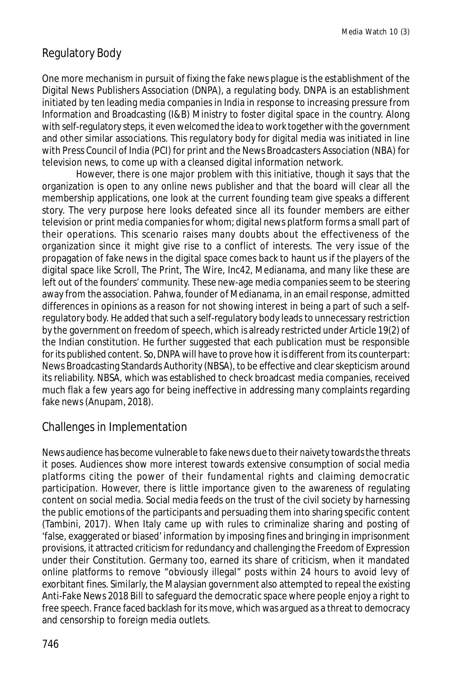## Regulatory Body

One more mechanism in pursuit of fixing the fake news plague is the establishment of the Digital News Publishers Association (DNPA), a regulating body. DNPA is an establishment initiated by ten leading media companies in India in response to increasing pressure from Information and Broadcasting (I&B) Ministry to foster digital space in the country. Along with self-regulatory steps, it even welcomed the idea to work together with the government and other similar associations. This regulatory body for digital media was initiated in line with Press Council of India (PCI) for print and the News Broadcasters Association (NBA) for television news, to come up with a cleansed digital information network.

However, there is one major problem with this initiative, though it says that the organization is open to any online news publisher and that the board will clear all the membership applications, one look at the current founding team give speaks a different story. The very purpose here looks defeated since all its founder members are either television or print media companies for whom; digital news platform forms a small part of their operations. This scenario raises many doubts about the effectiveness of the organization since it might give rise to a conflict of interests. The very issue of the propagation of fake news in the digital space comes back to haunt us if the players of the digital space like Scroll, The Print, The Wire, Inc42, Medianama, and many like these are left out of the founders' community. These new-age media companies seem to be steering away from the association. Pahwa, founder of Medianama, in an email response, admitted differences in opinions as a reason for not showing interest in being a part of such a selfregulatory body. He added that such a self-regulatory body leads to unnecessary restriction by the government on freedom of speech, which is already restricted under Article 19(2) of the Indian constitution. He further suggested that each publication must be responsible for its published content. So, DNPA will have to prove how it is different from its counterpart: News Broadcasting Standards Authority (NBSA), to be effective and clear skepticism around its reliability. NBSA, which was established to check broadcast media companies, received much flak a few years ago for being ineffective in addressing many complaints regarding fake news (Anupam, 2018).

## Challenges in Implementation

News audience has become vulnerable to fake news due to their naivety towards the threats it poses. Audiences show more interest towards extensive consumption of social media platforms citing the power of their fundamental rights and claiming democratic participation. However, there is little importance given to the awareness of regulating content on social media. Social media feeds on the trust of the civil society by harnessing the public emotions of the participants and persuading them into sharing specific content (Tambini, 2017). When Italy came up with rules to criminalize sharing and posting of 'false, exaggerated or biased' information by imposing fines and bringing in imprisonment provisions, it attracted criticism for redundancy and challenging the Freedom of Expression under their Constitution. Germany too, earned its share of criticism, when it mandated online platforms to remove "obviously illegal" posts within 24 hours to avoid levy of exorbitant fines. Similarly, the Malaysian government also attempted to repeal the existing Anti-Fake News 2018 Bill to safeguard the democratic space where people enjoy a right to free speech. France faced backlash for its move, which was argued as a threat to democracy and censorship to foreign media outlets.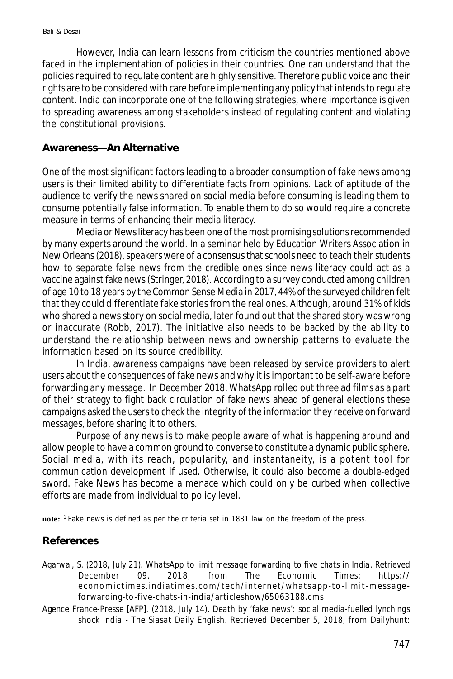However, India can learn lessons from criticism the countries mentioned above faced in the implementation of policies in their countries. One can understand that the policies required to regulate content are highly sensitive. Therefore public voice and their rights are to be considered with care before implementing any policy that intends to regulate content. India can incorporate one of the following strategies, where importance is given to spreading awareness among stakeholders instead of regulating content and violating the constitutional provisions.

#### **Awareness—An Alternative**

One of the most significant factors leading to a broader consumption of fake news among users is their limited ability to differentiate facts from opinions. Lack of aptitude of the audience to verify the news shared on social media before consuming is leading them to consume potentially false information. To enable them to do so would require a concrete measure in terms of enhancing their media literacy.

Media or News literacy has been one of the most promising solutions recommended by many experts around the world. In a seminar held by Education Writers Association in New Orleans (2018), speakers were of a consensus that schools need to teach their students how to separate false news from the credible ones since news literacy could act as a vaccine against fake news (Stringer, 2018). According to a survey conducted among children of age 10 to 18 years by the Common Sense Media in 2017, 44% of the surveyed children felt that they could differentiate fake stories from the real ones. Although, around 31% of kids who shared a news story on social media, later found out that the shared story was wrong or inaccurate (Robb, 2017). The initiative also needs to be backed by the ability to understand the relationship between news and ownership patterns to evaluate the information based on its source credibility.

In India, awareness campaigns have been released by service providers to alert users about the consequences of fake news and why it is important to be self-aware before forwarding any message. In December 2018, WhatsApp rolled out three ad films as a part of their strategy to fight back circulation of fake news ahead of general elections these campaigns asked the users to check the integrity of the information they receive on forward messages, before sharing it to others.

Purpose of any news is to make people aware of what is happening around and allow people to have a common ground to converse to constitute a dynamic public sphere. Social media, with its reach, popularity, and instantaneity, is a potent tool for communication development if used. Otherwise, it could also become a double-edged sword. Fake News has become a menace which could only be curbed when collective efforts are made from individual to policy level.

**note:** <sup>1</sup>Fake news is defined as per the criteria set in 1881 law on the freedom of the press.

### **References**

- Agarwal, S. (2018, July 21). *WhatsApp to limit message forwarding to five chats in India.* Retrieved December 09, 2018, from The Economic Times: https:// economictimes.indiatimes.com/tech/internet/whatsapp-to-limit-messageforwarding-to-five-chats-in-india/articleshow/65063188.cms
- Agence France-Presse [AFP]. (2018, July 14). *Death by 'fake news': social media-fuelled lynchings shock India - The Siasat Daily English*. Retrieved December 5, 2018, from Dailyhunt: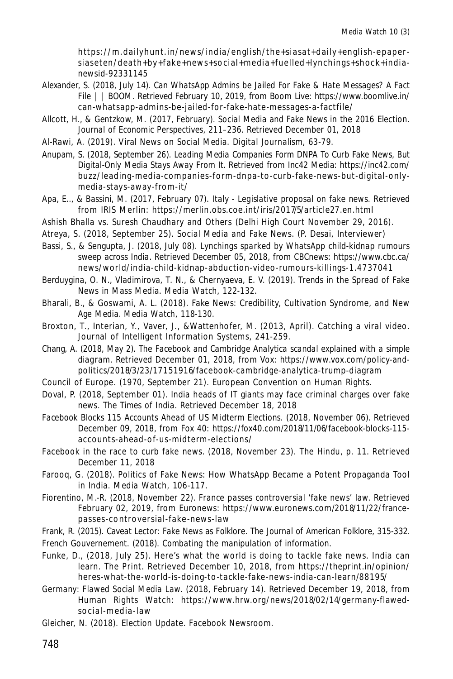https://m.daily hunt.in/news/india /english/the+sia sa t+daily +english-epapersiaseten/death+by+fake+news+social+media+fuelled+lynchings+shock+indianewsid-92331145

- Alexander, S. (2018, July 14). *Can WhatsApp Admins be Jailed For Fake & Hate Messages? A Fact File | | BOOM.* Retrieved February 10, 2019, from Boom Live: https://www.boomlive.in/ can-whatsapp-admins-be-jailed-for-fake-hate-messages-a-factfile/
- Allcott, H., & Gentzkow, M. (2017, February). Social Media and Fake News in the 2016 Election. *Journal of Economic Perspectives*, 211–236. Retrieved December 01, 2018
- Al-Rawi, A. (2019). Viral News on Social Media. *Digital Journalism*, 63-79.
- Anupam, S. (2018, September 26). *Leading Media Companies Form DNPA To Curb Fake News, But Digital-Only Media Stays Away From It.* Retrieved from Inc42 Media: https://inc42.com/ buzz/leading-media-companies-form-dnpa-to-curb-fake-news-but-digital-onlymedia-stays-away-from-it/
- Apa, E.., & Bassini, M. (2017, February 07). *Italy Legislative proposal on fake news.* Retrieved from IRIS Merlin: https://merlin.obs.coe.int/iris/2017/5/article27.en.html
- Ashish Bhalla vs. Suresh Chaudhary and Others (Delhi High Court November 29, 2016).
- Atreya, S. (2018, September 25). Social Media and Fake News. (P. Desai, Interviewer)
- Bassi, S., & Sengupta, J. (2018, July 08). *Lynchings sparked by WhatsApp child-kidnap rumours sweep across India*. Retrieved December 05, 2018, from CBCnews: https://www.cbc.ca/ news/world/india-child-kidnap-abduction-video-rumours-killings-1.4737041
- Berduygina, O. N., Vladimirova, T. N., & Chernyaeva, E. V. (2019). Trends in the Spread of Fake News in Mass Media. *Media Watch*, 122-132.
- Bharali, B., & Goswami, A. L. (2018). Fake News: Credibility, Cultivation Syndrome, and New Age Media. *Media Watch*, 118-130.
- Broxton, T., Interian, Y., Vaver, J., &Wattenhofer, M. (2013, April). Catching a viral video. Journal of Intelligent Information Systems, 241-259.
- Chang, A. (2018, May 2). *The Facebook and Cambridge Analytica scandal explained with a simple diagram*. Retrieved December 01, 2018, from Vox: https://www.vox.com/policy-andpolitics/2018/3/23/17151916/facebook-cambridge-analytica-trump-diagram
- Council of Europe. (1970, September 21). European Convention on Human Rights.
- Doval, P. (2018, September 01). India heads of IT giants may face criminal charges over fake news. *The Times of India*. Retrieved December 18, 2018
- *Facebook Blocks 115 Accounts Ahead of US Midterm Elections.* (2018, November 06). Retrieved December 09, 2018, from Fox 40: https://fox40.com/2018/11/06/facebook-blocks-115 accounts-ahead-of-us-midterm-elections/
- Facebook in the race to curb fake news. (2018, November 23). *The Hindu*, p. 11. Retrieved December 11, 2018
- Farooq, G. (2018). Politics of Fake News: How WhatsApp Became a Potent Propaganda Tool in India. Media Watch, 106-117.
- Fiorentino, M.-R. (2018, November 22). *France passes controversial 'fake news' law.* Retrieved February 02, 2019, from Euronews: https://www.euronews.com/2018/11/22/francepasses-co ntroversial-fake-news-law
- Frank, R. (2015). Caveat Lector: Fake News as Folklore. *The Journal of American Folklore*, 315-332.
- French Gouvernement. (2018). *Combating the manipulation of information.*
- Funke, D., (2018, July 25). Here's what the world is doing to tackle fake news. India can learn. *The Print*. Retrieved December 10, 2018, from https://theprint.in/opinion/ heres-what-the-world-is-doing-to-tackle-fake-news-india-can-learn/88195/
- *Germany: Flawed Social Media Law.* (2018, February 14). Retrieved December 19, 2018, from Human Rights Watch: https://www.hrw.org/news/2018/02/14/germany-flawedso cial-m edia -law
- Gleicher, N. (2018). *Election Update.* Facebook Newsroom.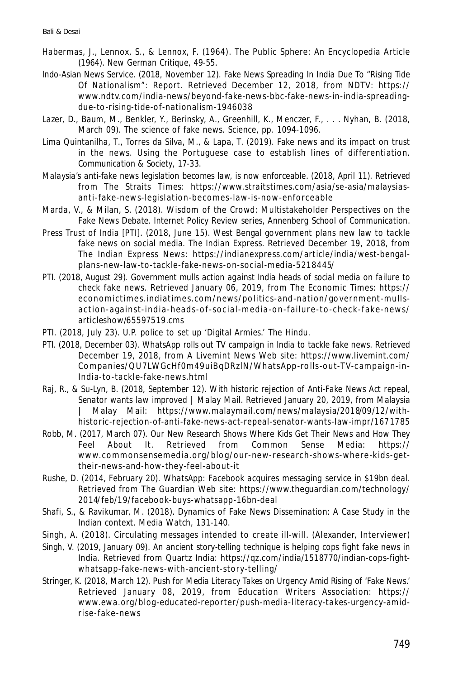- Habermas, J., Lennox, S., & Lennox, F. (1964). The Public Sphere: An Encyclopedia Article (1964). *New German Critique*, 49-55.
- Indo-Asian News Service. (2018, November 12). *Fake News Spreading In India Due To "Rising Tide Of Nationalism": Report.* Retrieved December 12, 2018, from NDTV: https:// www.ndtv.com/india-news/beyond-fake-news-bbc-fake-news-in-india-spreadingdue-to-rising-tide-of-nationalism-1946038
- Lazer, D., Baum, M., Benkler, Y., Berinsky, A., Greenhill, K., Menczer, F., . . . Nyhan, B. (2018, March 09). The science of fake news. *Science*, pp. 1094-1096.
- Lima Quintanilha, T., Torres da Silva, M., & Lapa, T. (2019). Fake news and its impact on trust in the news. Using the Portuguese case to establish lines of differentiation. *Communication & Society*, 17-33.
- *Malaysia's anti-fake news legislation becomes law, is now enforceable.* (2018, April 11). Retrieved from The Straits Times: https://www.straitstimes.com/asia/se-asia/malaysiasanti-fake-news-legislation-becomes-la w-is-now-enforceable
- Marda, V., & Milan, S. (2018). Wisdom of the Crowd: Multistakeholder Perspectives on the Fake News Debate. *Internet Policy Review series, Annenberg School of Communication*.
- Press Trust of India [PTI]. (2018, June 15). West Bengal government plans new law to tackle fake news on social media. *The Indian Express*. Retrieved December 19, 2018, from The Indian Express News: https://indianexpress.com/article/india/west-bengalplans-new-law-to-tackle-fake-news-on-social-media-5218445/
- PTI. (2018, August 29). *Government mulls action against India heads of social media on failure to check fake news.* Retrieved January 06, 2019, from The Economic Times: https:// economictimes.indiatimes.com/news/politics-and-nation/government-mullsaction-against-india-heads-of-social-media-on-failure-to-check-fake-news/ articleshow/65597519.cms
- PTI. (2018, July 23). U.P. police to set up 'Digital Armies.' *The Hindu*.
- PTI. (2018, December 03). *WhatsApp rolls out TV campaign in India to tackle fake news.* Retrieved December 19, 2018, from A Livemint News Web site: https://www.livemint.com/ Co mpa nies/QU7LWGc Hf0 m49 uiBqDRzlN/WhatsApp-ro lls-out-TV-c ampaign-in-India-to-tackle-fake-news.html
- Raj, R., & Su-Lyn, B. (2018, September 12). *With historic rejection of Anti-Fake News Act repeal, Senator wants law improved | Malay Mail*. Retrieved January 20, 2019, from Malaysia | Malay Mail: https://www.malaymail.com/news/malaysia/2018/09/12/withhistoric-rejection-of-anti-fake-news-act-repeal-senator-wants-law-impr/167 1785
- Robb, M. (2017, March 07). *Our New Research Shows Where Kids Get Their News and How They Feel About It.* Retrieved from Common Sense Media: https:// www.co mm onsensemedia.org/blo g/our-new-resea rc h-shows-where-kids-gettheir-news-and-how-they-feel-about-it
- Rushe, D. (2014, February 20). *WhatsApp: Facebook acquires messaging service in \$19bn deal.* Retrieved from The Guardian Web site: https://www.theguardian.com/technology/ 2014/feb/19/facebook-buys-whatsapp-16bn-deal
- Shafi, S., & Ravikumar, M. (2018). Dynamics of Fake News Dissemination: A Case Study in the Indian context. *Media Watch*, 131-140.
- Singh, A. (2018). Circulating messages intended to create ill-will. (Alexander, Interviewer)
- Singh, V. (2019, January 09). *An ancient story-telling technique is helping cops fight fake news in India.* Retrieved from Quartz India: https://qz.com/india/1518770/indian-cops-fightwhatsapp-fake-news-with-ancient-story-telling/
- Stringer, K. (2018, March 12). *Push for Media Literacy Takes on Urgency Amid Rising of 'Fake News.'* Retrieved January 08, 2019, from Education Writers Association: https:// www.ewa.org/blog-educated-reporter/push-media-literacy-takes-urgency-amidrise-fake-news